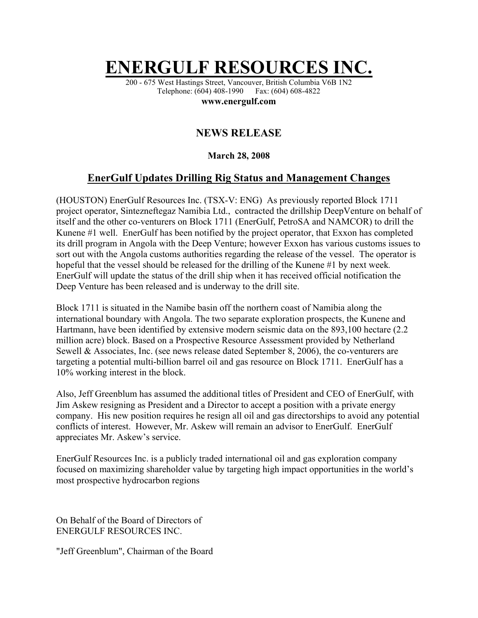## **ENERGULF RESOURCES IN**

200 - 675 West Hastings Street, Vancouver, British Columbia V6B 1N2 Telephone: (604) 408-1990 Fax: (604) 608-4822

**www.energulf.com** 

## **NEWS RELEASE**

## **March 28, 2008**

## **EnerGulf Updates Drilling Rig Status and Management Changes**

(HOUSTON) EnerGulf Resources Inc. (TSX-V: ENG) As previously reported Block 1711 project operator, Sintezneftegaz Namibia Ltd., contracted the drillship DeepVenture on behalf of itself and the other co-venturers on Block 1711 (EnerGulf, PetroSA and NAMCOR) to drill the Kunene #1 well. EnerGulf has been notified by the project operator, that Exxon has completed its drill program in Angola with the Deep Venture; however Exxon has various customs issues to sort out with the Angola customs authorities regarding the release of the vessel. The operator is hopeful that the vessel should be released for the drilling of the Kunene #1 by next week. EnerGulf will update the status of the drill ship when it has received official notification the Deep Venture has been released and is underway to the drill site.

Block 1711 is situated in the Namibe basin off the northern coast of Namibia along the international boundary with Angola. The two separate exploration prospects, the Kunene and Hartmann, have been identified by extensive modern seismic data on the 893,100 hectare (2.2 million acre) block. Based on a Prospective Resource Assessment provided by Netherland Sewell & Associates, Inc. (see news release dated September 8, 2006), the co-venturers are targeting a potential multi-billion barrel oil and gas resource on Block 1711. EnerGulf has a 10% working interest in the block.

Also, Jeff Greenblum has assumed the additional titles of President and CEO of EnerGulf, with Jim Askew resigning as President and a Director to accept a position with a private energy company. His new position requires he resign all oil and gas directorships to avoid any potential conflicts of interest. However, Mr. Askew will remain an advisor to EnerGulf. EnerGulf appreciates Mr. Askew's service.

EnerGulf Resources Inc. is a publicly traded international oil and gas exploration company focused on maximizing shareholder value by targeting high impact opportunities in the world's most prospective hydrocarbon regions

On Behalf of the Board of Directors of ENERGULF RESOURCES INC.

"Jeff Greenblum", Chairman of the Board